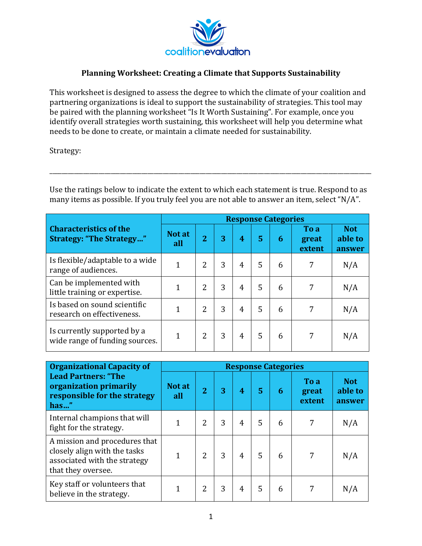

## **Planning Worksheet: Creating a Climate that Supports Sustainability**

This worksheet is designed to assess the degree to which the climate of your coalition and partnering organizations is ideal to support the sustainability of strategies. This tool may be paired with the planning worksheet "Is It Worth Sustaining". For example, once you identify overall strategies worth sustaining, this worksheet will help you determine what needs to be done to create, or maintain a climate needed for sustainability.

Strategy: 

Use the ratings below to indicate the extent to which each statement is true. Respond to as many items as possible. If you truly feel you are not able to answer an item, select "N/A".

\_\_\_\_\_\_\_\_\_\_\_\_\_\_\_\_\_\_\_\_\_\_\_\_\_\_\_\_\_\_\_\_\_\_\_\_\_\_\_\_\_\_\_\_\_\_\_\_\_\_\_\_\_\_\_\_\_\_\_\_\_\_\_\_\_\_\_\_\_\_\_\_\_\_\_\_\_\_\_\_\_\_\_\_\_\_\_\_\_\_\_\_\_\_\_\_\_\_\_\_\_\_\_\_\_

|                                                                  |               | <b>Response Categories</b> |   |   |   |   |                         |                                 |  |  |  |  |
|------------------------------------------------------------------|---------------|----------------------------|---|---|---|---|-------------------------|---------------------------------|--|--|--|--|
| <b>Characteristics of the</b><br><b>Strategy: "The Strategy"</b> | Not at<br>all | $\overline{2}$             | 3 | 4 | 5 | 6 | To a<br>great<br>extent | <b>Not</b><br>able to<br>answer |  |  |  |  |
| Is flexible/adaptable to a wide<br>range of audiences.           | $\mathbf{1}$  | $\overline{2}$             | 3 | 4 | 5 | 6 | 7                       | N/A                             |  |  |  |  |
| Can be implemented with<br>little training or expertise.         | 1             | 2                          | 3 | 4 | 5 | 6 | 7                       | N/A                             |  |  |  |  |
| Is based on sound scientific<br>research on effectiveness.       |               | $\overline{2}$             | 3 | 4 | 5 | 6 | 7                       | N/A                             |  |  |  |  |
| Is currently supported by a<br>wide range of funding sources.    | 1             | 2                          | 3 | 4 | 5 | 6 | 7                       | N/A                             |  |  |  |  |

| <b>Organizational Capacity of</b>                                                                                   | <b>Response Categories</b> |                |   |                |   |   |                         |                                 |  |  |
|---------------------------------------------------------------------------------------------------------------------|----------------------------|----------------|---|----------------|---|---|-------------------------|---------------------------------|--|--|
| <b>Lead Partners: "The</b><br>organization primarily<br>responsible for the strategy<br>has"                        | Not at<br>all              | $\overline{2}$ | 3 | 4              | 5 | 6 | To a<br>great<br>extent | <b>Not</b><br>able to<br>answer |  |  |
| Internal champions that will<br>fight for the strategy.                                                             | 1                          | $\overline{2}$ | 3 | 4              | 5 | 6 | 7                       | N/A                             |  |  |
| A mission and procedures that<br>closely align with the tasks<br>associated with the strategy<br>that they oversee. |                            | $\mathcal{P}$  | 3 | $\overline{4}$ | 5 | 6 | 7                       | N/A                             |  |  |
| Key staff or volunteers that<br>believe in the strategy.                                                            | 1                          | 2              | 3 | 4              | 5 | 6 | 7                       | N/A                             |  |  |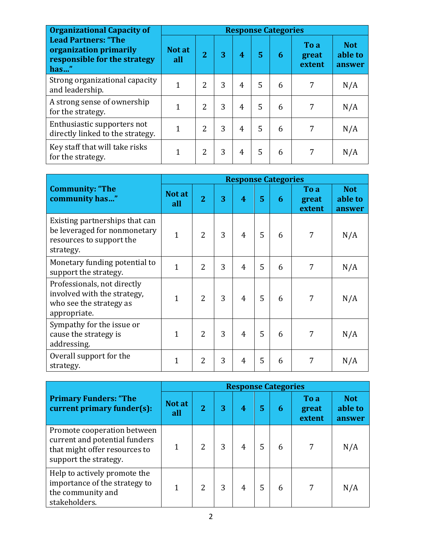| <b>Organizational Capacity of</b>                                                            | <b>Response Categories</b> |                |   |   |   |   |                         |                                 |  |  |  |
|----------------------------------------------------------------------------------------------|----------------------------|----------------|---|---|---|---|-------------------------|---------------------------------|--|--|--|
| <b>Lead Partners: "The</b><br>organization primarily<br>responsible for the strategy<br>has" | Not at<br>all              | $\overline{2}$ | 3 | 4 | 5 | 6 | To a<br>great<br>extent | <b>Not</b><br>able to<br>answer |  |  |  |
| Strong organizational capacity<br>and leadership.                                            | 1                          | $\overline{2}$ | 3 | 4 | 5 | 6 | 7                       | N/A                             |  |  |  |
| A strong sense of ownership<br>for the strategy.                                             | 1                          | $\overline{2}$ | 3 | 4 | 5 | 6 | 7                       | N/A                             |  |  |  |
| Enthusiastic supporters not<br>directly linked to the strategy.                              | 1                          | 2              | 3 | 4 | 5 | 6 | 7                       | N/A                             |  |  |  |
| Key staff that will take risks<br>for the strategy.                                          | 1                          | $\overline{2}$ | 3 | 4 | 5 | 6 | 7                       | N/A                             |  |  |  |

|                                                                                                         | <b>Response Categories</b> |                |   |                         |   |   |                         |                                 |  |  |
|---------------------------------------------------------------------------------------------------------|----------------------------|----------------|---|-------------------------|---|---|-------------------------|---------------------------------|--|--|
| <b>Community: "The</b><br>community has"                                                                | Not at<br>all              | $\overline{2}$ | 3 | $\overline{\mathbf{4}}$ | 5 | 6 | To a<br>great<br>extent | <b>Not</b><br>able to<br>answer |  |  |
| Existing partnerships that can<br>be leveraged for nonmonetary<br>resources to support the<br>strategy. | $\overline{1}$             | $\overline{2}$ | 3 | $\overline{4}$          | 5 | 6 | 7                       | N/A                             |  |  |
| Monetary funding potential to<br>support the strategy.                                                  | $\overline{1}$             | $\overline{2}$ | 3 | $\overline{4}$          | 5 | 6 | 7                       | N/A                             |  |  |
| Professionals, not directly<br>involved with the strategy,<br>who see the strategy as<br>appropriate.   | 1                          | $\overline{2}$ | 3 | 4                       | 5 | 6 | 7                       | N/A                             |  |  |
| Sympathy for the issue or<br>cause the strategy is<br>addressing.                                       | 1                          | $\overline{2}$ | 3 | $\overline{4}$          | 5 | 6 | 7                       | N/A                             |  |  |
| Overall support for the<br>strategy.                                                                    | 1                          | 2              | 3 | $\overline{4}$          | 5 | 6 | 7                       | N/A                             |  |  |

|                                                                                                                        | <b>Response Categories</b> |                |   |   |   |   |                         |                                 |  |  |
|------------------------------------------------------------------------------------------------------------------------|----------------------------|----------------|---|---|---|---|-------------------------|---------------------------------|--|--|
| <b>Primary Funders: "The</b><br>current primary funder(s):                                                             | Not at<br>all              | $\overline{2}$ | 3 | 4 | 5 | 6 | To a<br>great<br>extent | <b>Not</b><br>able to<br>answer |  |  |
| Promote cooperation between<br>current and potential funders<br>that might offer resources to<br>support the strategy. |                            | $\overline{2}$ | 3 | 4 | 5 | 6 | 7                       | N/A                             |  |  |
| Help to actively promote the<br>importance of the strategy to<br>the community and<br>stakeholders.                    |                            | $\overline{2}$ | 3 | 4 | 5 | 6 | 7                       | N/A                             |  |  |